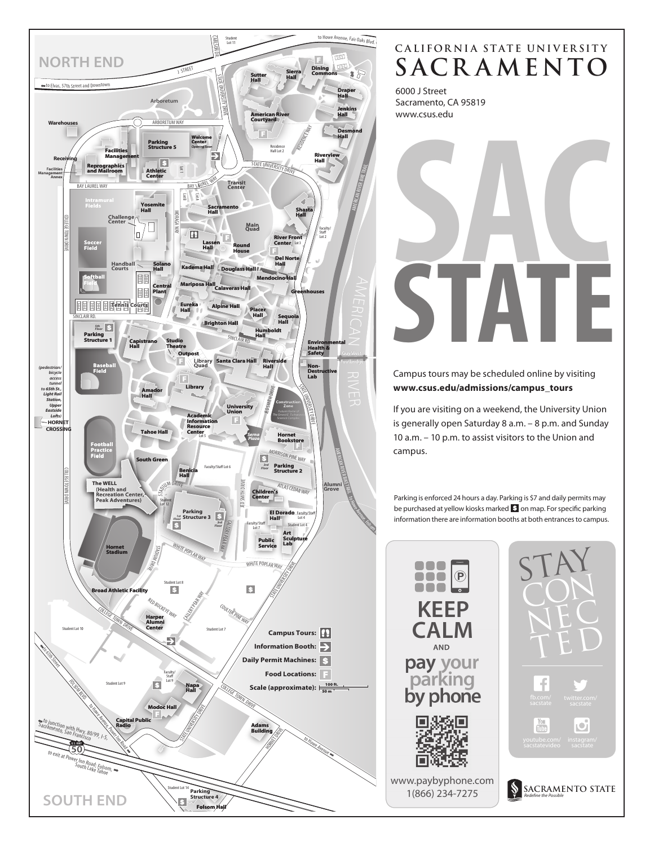

# **SACR AMENTO CALIFORNIA STATE UNIVERSITY**

6000 J Street Sacramento, CA 95819 www.csus.edu



Campus tours may be scheduled online by visiting **www.csus.edu/admissions/campus\_tours**

If you are visiting on a weekend, the University Union is generally open Saturday 8 a.m. – 8 p.m. and Sunday 10 a.m. – 10 p.m. to assist visitors to the Union and campus.

Parking is enforced 24 hours a day. Parking is \$7 and daily permits may be purchased at yellow kiosks marked  $\mathbf S$  on map. For specific parking information there are information booths at both entrances to campus.